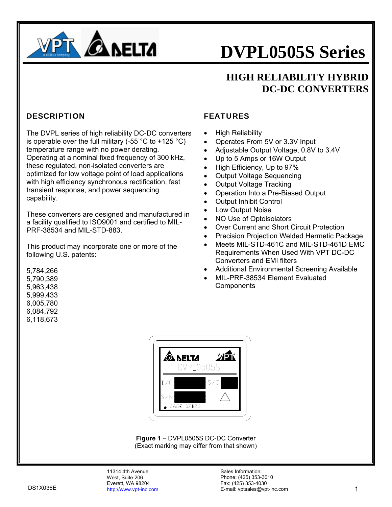

### **HIGH RELIABILITY HYBRID DC-DC CONVERTERS**

#### **DESCRIPTION**

The DVPL series of high reliability DC-DC converters is operable over the full military (-55  $^{\circ}$ C to +125  $^{\circ}$ C) temperature range with no power derating. Operating at a nominal fixed frequency of 300 kHz, these regulated, non-isolated converters are optimized for low voltage point of load applications with high efficiency synchronous rectification, fast transient response, and power sequencing capability.

These converters are designed and manufactured in a facility qualified to ISO9001 and certified to MIL-PRF-38534 and MIL-STD-883.

This product may incorporate one or more of the following U.S. patents:

#### FEATURES

- High Reliability
- Operates From 5V or 3.3V Input
- Adjustable Output Voltage, 0.8V to 3.4V
- Up to 5 Amps or 16W Output
- High Efficiency, Up to 97%
- Output Voltage Sequencing
- Output Voltage Tracking
- Operation Into a Pre-Biased Output
- Output Inhibit Control
- Low Output Noise
- NO Use of Optoisolators
- Over Current and Short Circuit Protection
- Precision Projection Welded Hermetic Package
- Meets MIL-STD-461C and MIL-STD-461D EMC Requirements When Used With VPT DC-DC Converters and EMI filters
- Additional Environmental Screening Available
- MIL-PRF-38534 Element Evaluated **Components**



**Figure 1** – DVPL0505S DC-DC Converter (Exact marking may differ from that shown)

5,784,266 5,790,389 5,963,438 5,999,433 6,005,780 6,084,792 6,118,673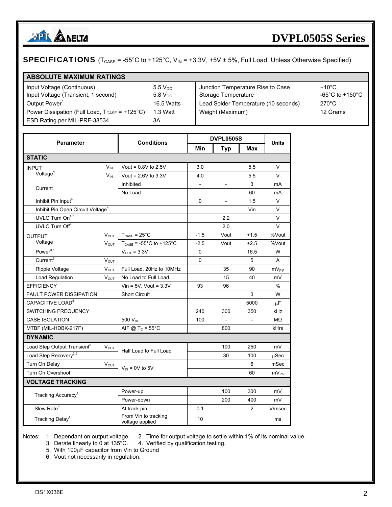

### **SPECIFICATIONS** ( $T_{\text{CASE}}$  = -55°C to +125°C,  $V_{\text{IN}}$  = +3.3V, +5V  $\pm$  5%, Full Load, Unless Otherwise Specified)

| <b>ABSOLUTE MAXIMUM RATINGS</b>                                           |              |                                      |                                       |
|---------------------------------------------------------------------------|--------------|--------------------------------------|---------------------------------------|
| Input Voltage (Continuous)                                                | $5.5 V_{DC}$ | Junction Temperature Rise to Case    | $+10^{\circ}$ C.                      |
| Input Voltage (Transient, 1 second)                                       | $5.8 V_{DC}$ | Storage Temperature                  | -65 $^{\circ}$ C to +150 $^{\circ}$ C |
| Output Power <sup>1</sup>                                                 | 16.5 Watts   | Lead Solder Temperature (10 seconds) | $270^{\circ}$ C                       |
| Power Dissipation (Full Load, $T_{\text{CASE}} = +125^{\circ} \text{C}$ ) | 1.3 Watt     | Weight (Maximum)                     | 12 Grams                              |
| ESD Rating per MIL-PRF-38534                                              | ЗA           |                                      |                                       |

| <b>Parameter</b>                              |                 | <b>Conditions</b>                       |          | <b>DVPL0505S</b>         |              |              |
|-----------------------------------------------|-----------------|-----------------------------------------|----------|--------------------------|--------------|--------------|
|                                               |                 |                                         | Min      | <b>Typ</b>               | <b>Max</b>   | <b>Units</b> |
| <b>STATIC</b>                                 |                 |                                         |          |                          |              |              |
| <b>INPUT</b>                                  | $V_{IN}$        | Vout = $0.8V$ to $2.5V$                 | 3.0      |                          | 5.5          | V            |
| Voltage <sup>4</sup>                          | $V_{\text{IN}}$ | Vout = $2.6V$ to $3.3V$                 | 4.0      |                          | 5.5          | $\vee$       |
| Current                                       |                 | Inhibited                               |          |                          | 3            | mA           |
|                                               |                 | No Load                                 |          |                          | 60           | mA           |
| Inhibit Pin Input <sup>4</sup>                |                 |                                         | $\Omega$ | $\overline{\phantom{a}}$ | 1.5          | V            |
| Inhibit Pin Open Circuit Voltage <sup>4</sup> |                 |                                         |          |                          | Vin          | V            |
| UVLO Turn On <sup>4,6</sup>                   |                 |                                         |          | 2.2                      |              | V            |
| UVLO Turn Off <sup>4</sup>                    |                 |                                         |          | 2.0                      |              | V            |
| <b>OUTPUT</b>                                 | <b>VOUT</b>     | $T_{\text{CASE}} = 25^{\circ}C$         | $-1.5$   | Vout                     | $+1.5$       | %Vout        |
| Voltage                                       | $V_{OUT}$       | $T_{\text{CASE}}$ = -55°C to +125°C     | $-2.5$   | Vout                     | $+2.5$       | %Vout        |
| Power <sup>3,1</sup>                          |                 | $V_{OUT} = 3.3V$                        | 0        |                          | 16.5         | W            |
| Current <sup>3</sup>                          | $V_{OUT}$       |                                         | 0        |                          | 5            | A            |
| Ripple Voltage                                | $V_{OUT}$       | Full Load, 20Hz to 10MHz                |          | 35                       | 90           | $mV_{p-p}$   |
| Load Regulation                               | $V_{OUT}$       | No Load to Full Load                    |          | 15                       | 40           | mV           |
| <b>EFFICIENCY</b>                             |                 | Vin = $5V$ , Vout = $3.3V$              | 93       | 96                       |              | $\%$         |
| <b>FAULT POWER DISSIPATION</b>                |                 | <b>Short Circuit</b>                    |          |                          | 3            | W            |
| CAPACITIVE LOAD <sup>4</sup>                  |                 |                                         |          |                          | 5000         | $\mu$ F      |
| <b>SWITCHING FREQUENCY</b>                    |                 |                                         | 240      | 300                      | 350          | kHz          |
| <b>CASE ISOLATION</b>                         |                 | 500 V <sub>DC</sub>                     | 100      | $\blacksquare$           | $\mathbb{L}$ | MΩ           |
| MTBF (MIL-HDBK-217F)                          |                 | AIF @ $T_c = 55^{\circ}$ C              |          | 800                      |              | kHrs         |
| <b>DYNAMIC</b>                                |                 |                                         |          |                          |              |              |
| Load Step Output Transient <sup>5</sup>       | $V_{OUT}$       | Half Load to Full Load                  |          | 100                      | 250          | mV           |
| Load Step Recovery <sup>2,5</sup>             |                 |                                         |          | 30                       | 100          | uSec         |
| Turn On Delay                                 | $V_{OUT}$       | $V_{IN}$ = 0V to 5V                     |          |                          | 6            | mSec         |
| Turn On Overshoot                             |                 |                                         |          |                          | 60           | $mV_{PK}$    |
| <b>VOLTAGE TRACKING</b>                       |                 |                                         |          |                          |              |              |
| Tracking Accuracy <sup>4</sup>                |                 | Power-up                                |          | 100                      | 300          | mV           |
|                                               |                 | Power-down                              |          | 200                      | 400          | mV           |
| Slew Rate <sup>4</sup>                        |                 | At track pin                            | 0.1      |                          | 2            | V/msec       |
| Tracking Delay <sup>4</sup>                   |                 | From Vin to tracking<br>voltage applied | 10       |                          |              | ms           |

Notes: 1. Dependant on output voltage. 2. Time for output voltage to settle within 1% of its nominal value.

3. Derate linearly to 0 at 135°C. 4. Verified by qualification testing.

5. With 100μF capacitor from Vin to Ground

6. Vout not necessarily in regulation.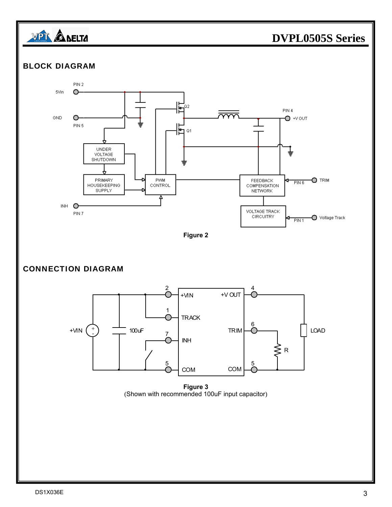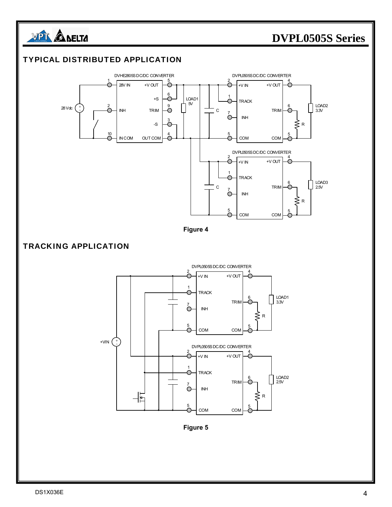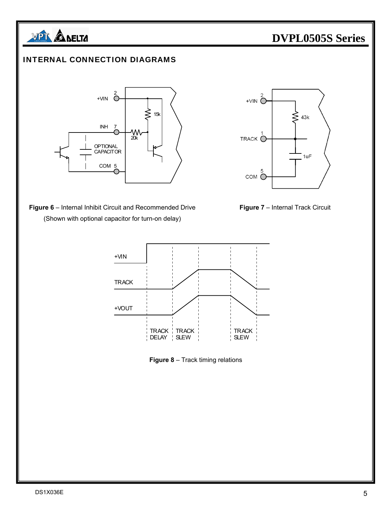

#### INTERNAL CONNECTION DIAGRAMS



**Figure 6** – Internal Inhibit Circuit and Recommended Drive **Figure 7** – Internal Track Circuit (Shown with optional capacitor for turn-on delay)







**Figure 8** – Track timing relations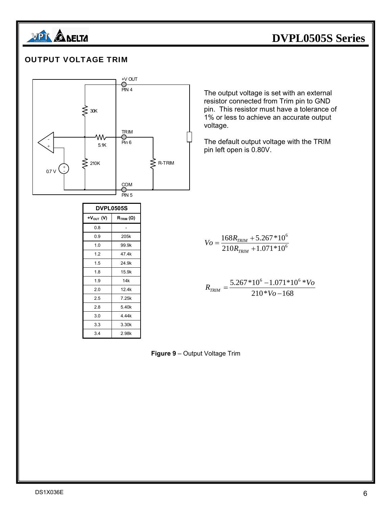

#### OUTPUT VOLTAGE TRIM



| <b>DVPL0505S</b> |                                                 |  |
|------------------|-------------------------------------------------|--|
| $+V_{OUT}$ (V)   | $\mathsf{R}_{\mathsf{TRIM}}\left(\Omega\right)$ |  |
| 0.8              |                                                 |  |
| 0.9              | 205k                                            |  |
| 1.0              | 99.9k                                           |  |
| 1.2              | 47.4k                                           |  |
| 1.5              | 24.9k                                           |  |
| 1.8              | 15.9k                                           |  |
| 1.9              | 14k                                             |  |
| 2.0              | 12.4k                                           |  |
| 2.5              | 7.25k                                           |  |
| 2.8              | 5.40k                                           |  |
| 3.0              | 4.44k                                           |  |
| 3.3              | 3.30k                                           |  |
| 3.4              | 2.98k                                           |  |

The output voltage is set with an external resistor connected from Trim pin to GND pin. This resistor must have a tolerance of 1% or less to achieve an accurate output voltage.

The default output voltage with the TRIM pin left open is 0.80V.

$$
V_O = \frac{168R_{TRIM} + 5.267 * 10^6}{210R_{TRIM} + 1.071 * 10^6}
$$

 $210*V<sub>0</sub> - 168$  $5.267*10^{6} - 1.071*10^{6} *$  $R_{TRIM} = \frac{5.267 * 10^6 - 1.071 * 10^6 * V_o}{210 * V_o - 168}$ 

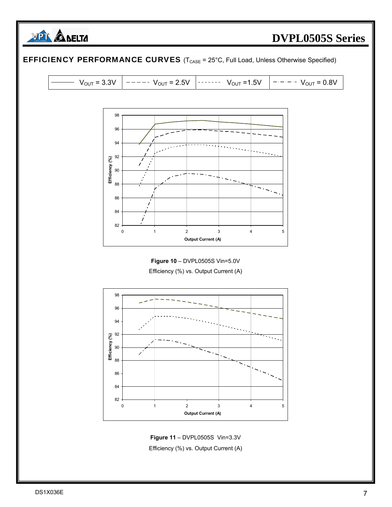

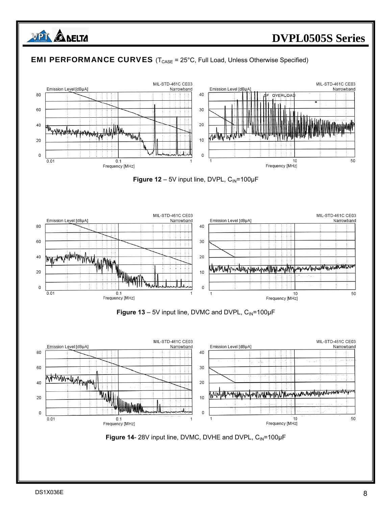

#### **EMI PERFORMANCE CURVES** ( $T_{\text{CASE}} = 25^{\circ}$ C, Full Load, Unless Otherwise Specified)











**Figure 14**- 28V input line, DVMC, DVHE and DVPL, CIN=100μF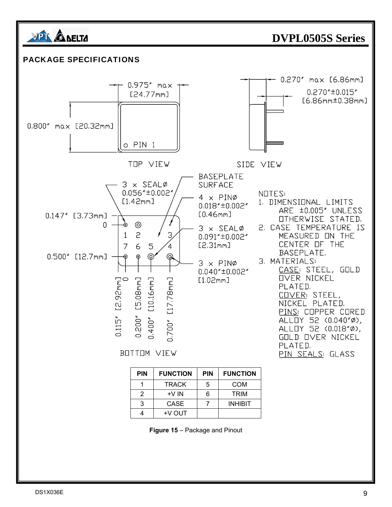

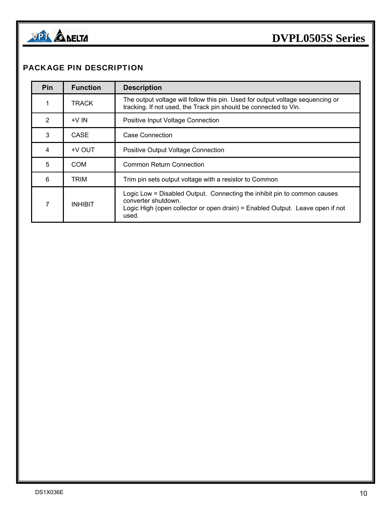

#### PACKAGE PIN DESCRIPTION

| Pin | <b>Function</b> | <b>Description</b>                                                                                                                                                                        |
|-----|-----------------|-------------------------------------------------------------------------------------------------------------------------------------------------------------------------------------------|
|     | TRACK           | The output voltage will follow this pin. Used for output voltage sequencing or<br>tracking. If not used, the Track pin should be connected to Vin.                                        |
| 2   | $+V$ IN         | Positive Input Voltage Connection                                                                                                                                                         |
| 3   | CASE            | Case Connection                                                                                                                                                                           |
| 4   | <b>HV OUT</b>   | <b>Positive Output Voltage Connection</b>                                                                                                                                                 |
| 5   | COM             | <b>Common Return Connection</b>                                                                                                                                                           |
| 6   | TRIM            | Trim pin sets output voltage with a resistor to Common                                                                                                                                    |
| 7   | <b>INHIBIT</b>  | Logic Low = Disabled Output. Connecting the inhibit pin to common causes<br>converter shutdown.<br>Logic High (open collector or open drain) = Enabled Output. Leave open if not<br>used. |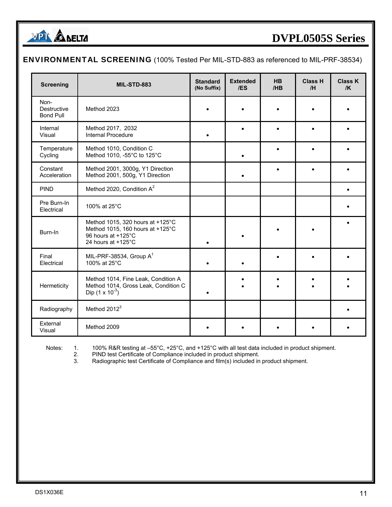

| <b>ENVIRONMENTAL SCREENING</b> (100% Tested Per MIL-STD-883 as referenced to MIL-PRF-38534) |  |  |
|---------------------------------------------------------------------------------------------|--|--|
|---------------------------------------------------------------------------------------------|--|--|

| <b>Screening</b>                        | <b>MIL-STD-883</b>                                                                                               | <b>Standard</b><br>(No Suffix) | <b>Extended</b><br>/ES | <b>HB</b><br>/HB | <b>Class H</b><br>/H | <b>Class K</b><br>/K |
|-----------------------------------------|------------------------------------------------------------------------------------------------------------------|--------------------------------|------------------------|------------------|----------------------|----------------------|
| Non-<br>Destructive<br><b>Bond Pull</b> | Method 2023                                                                                                      |                                |                        |                  |                      |                      |
| Internal<br>Visual                      | Method 2017, 2032<br>Internal Procedure                                                                          |                                |                        | $\bullet$        |                      |                      |
| Temperature<br>Cycling                  | Method 1010, Condition C<br>Method 1010, -55°C to 125°C                                                          |                                |                        |                  |                      |                      |
| Constant<br>Acceleration                | Method 2001, 3000g, Y1 Direction<br>Method 2001, 500g, Y1 Direction                                              |                                |                        |                  |                      |                      |
| <b>PIND</b>                             | Method 2020, Condition A <sup>2</sup>                                                                            |                                |                        |                  |                      |                      |
| Pre Burn-In<br>Electrical               | 100% at 25°C                                                                                                     |                                |                        |                  |                      |                      |
| Burn-In                                 | Method 1015, 320 hours at +125°C<br>Method 1015, 160 hours at +125°C<br>96 hours at +125°C<br>24 hours at +125°C | $\bullet$                      |                        |                  |                      |                      |
| Final<br>Electrical                     | MIL-PRF-38534, Group $A^1$<br>100% at 25°C                                                                       |                                |                        | $\bullet$        |                      |                      |
| Hermeticity                             | Method 1014, Fine Leak, Condition A<br>Method 1014, Gross Leak, Condition C<br>Dip $(1 \times 10^{-3})$          |                                |                        |                  |                      |                      |
| Radiography                             | Method 2012 <sup>3</sup>                                                                                         |                                |                        |                  |                      |                      |
| External<br>Visual                      | Method 2009                                                                                                      |                                |                        |                  |                      |                      |

Notes: 1. 100% R&R testing at –55°C, +25°C, and +125°C with all test data included in product shipment.

2. PIND test Certificate of Compliance included in product shipment.

3. Radiographic test Certificate of Compliance and film(s) included in product shipment.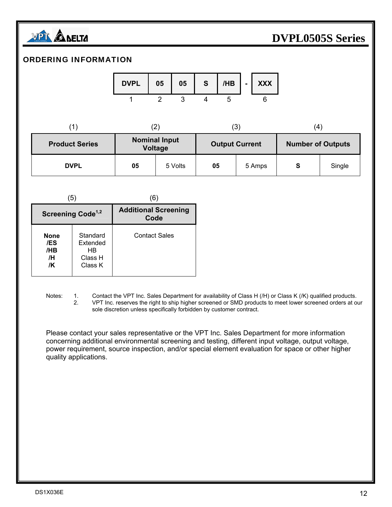

#### ORDERING INFORMATION

| <b>DVPL</b> | 05 | 05 | S. |  | $/HB$ $\vert$ - $\vert$ XXX |  |
|-------------|----|----|----|--|-----------------------------|--|
|             |    |    |    |  |                             |  |

| <b>Product Series</b> | <b>Nominal Input</b><br>$\frac{1}{2}$ | <b>Output Current</b> | <b>Number of Outputs</b> |
|-----------------------|---------------------------------------|-----------------------|--------------------------|
|                       |                                       |                       |                          |

| <b>Product Series</b> | <b>IVOIIIIIIIIIIIIIIIDUL</b><br>Voltage |         | <b>Output Current</b> |        | <b>Number of Outputs</b> |        |
|-----------------------|-----------------------------------------|---------|-----------------------|--------|--------------------------|--------|
| <b>DVPL</b>           | 05                                      | 5 Volts | 05                    | 5 Amps | S                        | Single |

|                                | (5)                                              | 6                                   |
|--------------------------------|--------------------------------------------------|-------------------------------------|
| Screening Code <sup>1,2</sup>  |                                                  | <b>Additional Screening</b><br>Code |
| None<br>/ES<br>/HB<br>/H<br>/K | Standard<br>Extended<br>HB<br>Class H<br>Class K | <b>Contact Sales</b>                |

Notes: 1. Contact the VPT Inc. Sales Department for availability of Class H (/H) or Class K (/K) qualified products.<br>2. VPT Inc. reserves the right to ship higher screened or SMD products to meet lower screened orders at o VPT Inc. reserves the right to ship higher screened or SMD products to meet lower screened orders at our sole discretion unless specifically forbidden by customer contract.

 Please contact your sales representative or the VPT Inc. Sales Department for more information concerning additional environmental screening and testing, different input voltage, output voltage, power requirement, source inspection, and/or special element evaluation for space or other higher quality applications.